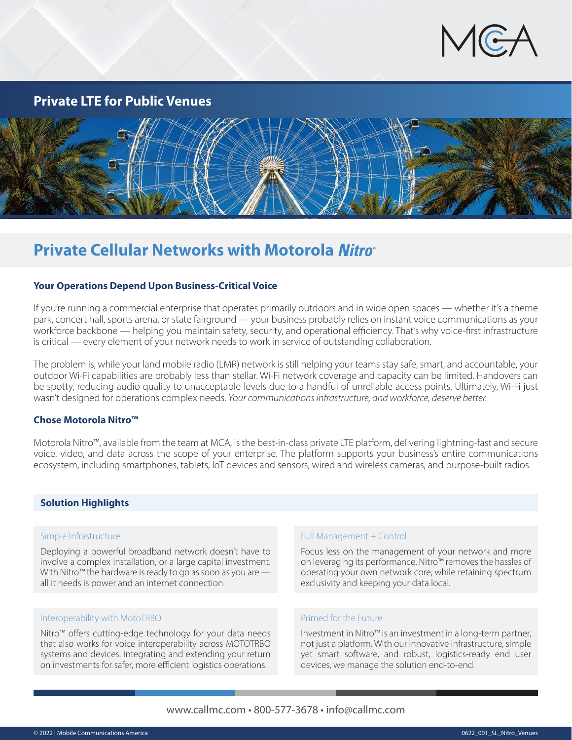

## **Private LTE for Public Venues**



## **Private Cellular Networks with Motorola**

## **Your Operations Depend Upon Business-Critical Voice**

If you're running a commercial enterprise that operates primarily outdoors and in wide open spaces — whether it's a theme park, concert hall, sports arena, or state fairground — your business probably relies on instant voice communications as your workforce backbone — helping you maintain safety, security, and operational efficiency. That's why voice-first infrastructure is critical — every element of your network needs to work in service of outstanding collaboration.

The problem is, while your land mobile radio (LMR) network is still helping your teams stay safe, smart, and accountable, your outdoor Wi-Fi capabilities are probably less than stellar. Wi-Fi network coverage and capacity can be limited. Handovers can be spotty, reducing audio quality to unacceptable levels due to a handful of unreliable access points. Ultimately, Wi-Fi just wasn't designed for operations complex needs. *Your communications infrastructure, and workforce, deserve better.*

## **Chose Motorola Nitro™**

Motorola Nitro™, available from the team at MCA, is the best-in-class private LTE platform, delivering lightning-fast and secure voice, video, and data across the scope of your enterprise. The platform supports your business's entire communications ecosystem, including smartphones, tablets, IoT devices and sensors, wired and wireless cameras, and purpose-built radios.

## **Solution Highlights**

#### Simple Infrastructure

Deploying a powerful broadband network doesn't have to involve a complex installation, or a large capital investment. With Nitro™ the hardware is ready to go as soon as you are all it needs is power and an internet connection.

#### Interoperability with MotoTRBO

Nitro™ offers cutting-edge technology for your data needs that also works for voice interoperability across MOTOTRBO systems and devices. Integrating and extending your return on investments for safer, more efficient logistics operations.

#### Full Management + Control

Focus less on the management of your network and more on leveraging its performance. Nitro™ removes the hassles of operating your own network core, while retaining spectrum exclusivity and keeping your data local.

#### Primed for the Future

Investment in Nitro™ is an investment in a long-term partner, not just a platform. With our innovative infrastructure, simple yet smart software, and robust, logistics-ready end user devices, we manage the solution end-to-end.

## www.callmc.com • 800-577-3678 • info@callmc.com